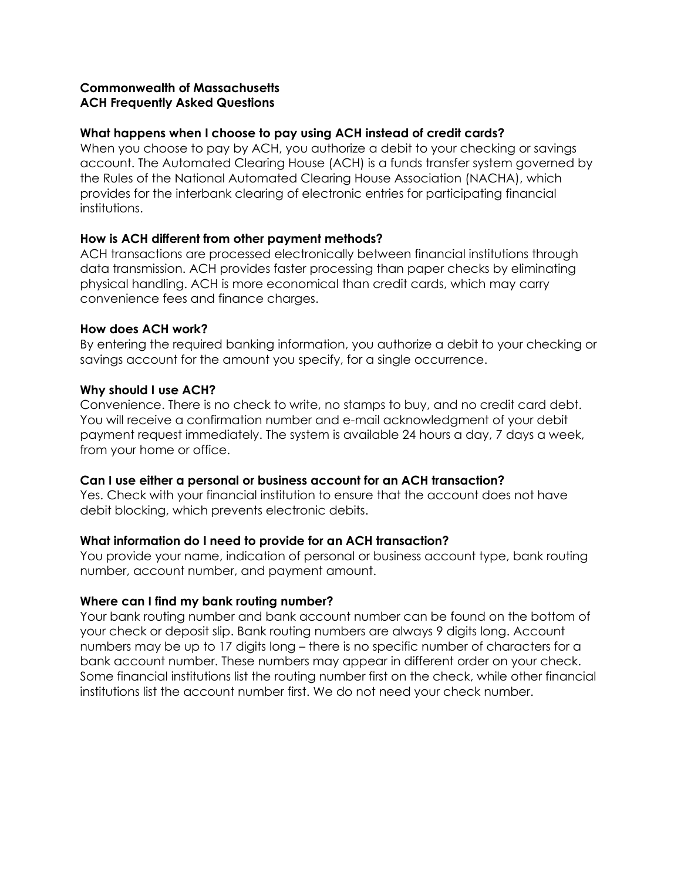### **Commonwealth of Massachusetts ACH Frequently Asked Questions**

#### **What happens when I choose to pay using ACH instead of credit cards?**

When you choose to pay by ACH, you authorize a debit to your checking or savings account. The Automated Clearing House (ACH) is a funds transfer system governed by the Rules of the National Automated Clearing House Association (NACHA), which provides for the interbank clearing of electronic entries for participating financial institutions.

#### **How is ACH different from other payment methods?**

ACH transactions are processed electronically between financial institutions through data transmission. ACH provides faster processing than paper checks by eliminating physical handling. ACH is more economical than credit cards, which may carry convenience fees and finance charges.

#### **How does ACH work?**

By entering the required banking information, you authorize a debit to your checking or savings account for the amount you specify, for a single occurrence.

#### **Why should I use ACH?**

Convenience. There is no check to write, no stamps to buy, and no credit card debt. You will receive a confirmation number and e-mail acknowledgment of your debit payment request immediately. The system is available 24 hours a day, 7 days a week, from your home or office.

### **Can I use either a personal or business account for an ACH transaction?**

Yes. Check with your financial institution to ensure that the account does not have debit blocking, which prevents electronic debits.

### **What information do I need to provide for an ACH transaction?**

You provide your name, indication of personal or business account type, bank routing number, account number, and payment amount.

### **Where can I find my bank routing number?**

Your bank routing number and bank account number can be found on the bottom of your check or deposit slip. Bank routing numbers are always 9 digits long. Account numbers may be up to 17 digits long – there is no specific number of characters for a bank account number. These numbers may appear in different order on your check. Some financial institutions list the routing number first on the check, while other financial institutions list the account number first. We do not need your check number.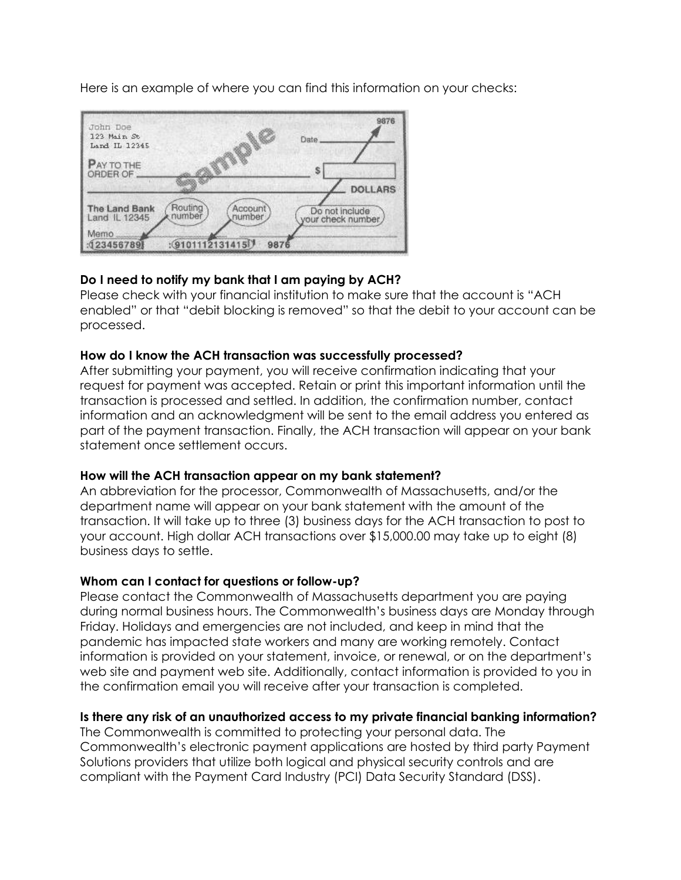Here is an example of where you can find this information on your checks:



# **Do I need to notify my bank that I am paying by ACH?**

Please check with your financial institution to make sure that the account is "ACH enabled" or that "debit blocking is removed" so that the debit to your account can be processed.

## **How do I know the ACH transaction was successfully processed?**

After submitting your payment, you will receive confirmation indicating that your request for payment was accepted. Retain or print this important information until the transaction is processed and settled. In addition, the confirmation number, contact information and an acknowledgment will be sent to the email address you entered as part of the payment transaction. Finally, the ACH transaction will appear on your bank statement once settlement occurs.

### **How will the ACH transaction appear on my bank statement?**

An abbreviation for the processor, Commonwealth of Massachusetts, and/or the department name will appear on your bank statement with the amount of the transaction. It will take up to three (3) business days for the ACH transaction to post to your account. High dollar ACH transactions over \$15,000.00 may take up to eight (8) business days to settle.

### **Whom can I contact for questions or follow-up?**

Please contact the Commonwealth of Massachusetts department you are paying during normal business hours. The Commonwealth's business days are Monday through Friday. Holidays and emergencies are not included, and keep in mind that the pandemic has impacted state workers and many are working remotely. Contact information is provided on your statement, invoice, or renewal, or on the department's web site and payment web site. Additionally, contact information is provided to you in the confirmation email you will receive after your transaction is completed.

## **Is there any risk of an unauthorized access to my private financial banking information?**

The Commonwealth is committed to protecting your personal data. The Commonwealth's electronic payment applications are hosted by third party Payment Solutions providers that utilize both logical and physical security controls and are compliant with the Payment Card Industry (PCI) Data Security Standard (DSS).